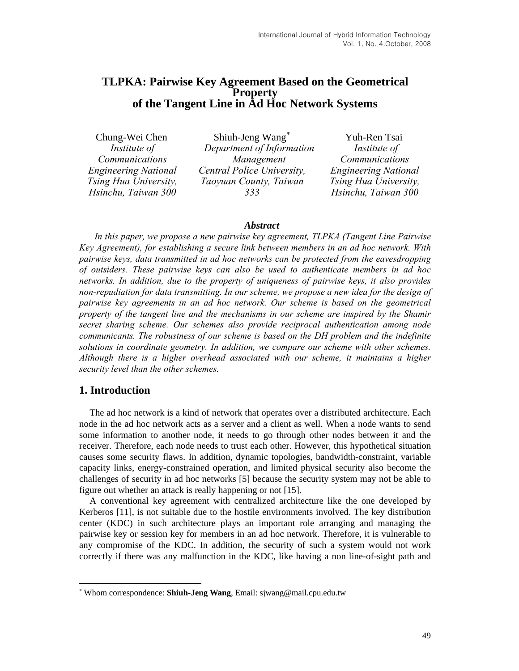## **TLPKA: Pairwise Key Agreement Based on the Geometrical Property of the Tangent Line in Ad Hoc Network Systems**

Chung-Wei Chen *Institute of Communications Engineering National Tsing Hua University, Hsinchu, Taiwan 300*

Shiuh-Jeng Wang[∗](#page-0-0) *Department of Information Management Central Police University, Taoyuan County, Taiwan 333* 

Yuh-Ren Tsai  *Institute of Communications Engineering National Tsing Hua University, Hsinchu, Taiwan 300*

### *Abstract*

*In this paper, we propose a new pairwise key agreement, TLPKA (Tangent Line Pairwise Key Agreement), for establishing a secure link between members in an ad hoc network. With pairwise keys, data transmitted in ad hoc networks can be protected from the eavesdropping of outsiders. These pairwise keys can also be used to authenticate members in ad hoc networks. In addition, due to the property of uniqueness of pairwise keys, it also provides non-repudiation for data transmitting. In our scheme, we propose a new idea for the design of pairwise key agreements in an ad hoc network. Our scheme is based on the geometrical property of the tangent line and the mechanisms in our scheme are inspired by the Shamir secret sharing scheme. Our schemes also provide reciprocal authentication among node communicants. The robustness of our scheme is based on the DH problem and the indefinite solutions in coordinate geometry. In addition, we compare our scheme with other schemes. Although there is a higher overhead associated with our scheme, it maintains a higher security level than the other schemes.* 

## **1. Introduction**

l

The ad hoc network is a kind of network that operates over a distributed architecture. Each node in the ad hoc network acts as a server and a client as well. When a node wants to send some information to another node, it needs to go through other nodes between it and the receiver. Therefore, each node needs to trust each other. However, this hypothetical situation causes some security flaws. In addition, dynamic topologies, bandwidth-constraint, variable capacity links, energy-constrained operation, and limited physical security also become the challenges of security in ad hoc networks [5] because the security system may not be able to figure out whether an attack is really happening or not [15].

A conventional key agreement with centralized architecture like the one developed by Kerberos [11], is not suitable due to the hostile environments involved. The key distribution center (KDC) in such architecture plays an important role arranging and managing the pairwise key or session key for members in an ad hoc network. Therefore, it is vulnerable to any compromise of the KDC. In addition, the security of such a system would not work correctly if there was any malfunction in the KDC, like having a non line-of-sight path and

<span id="page-0-0"></span><sup>∗</sup> Whom correspondence: **Shiuh-Jeng Wang**, Email: [sjwang@mail.cpu.edu.tw](mailto:sjwang@mail.cpu.edu.tw)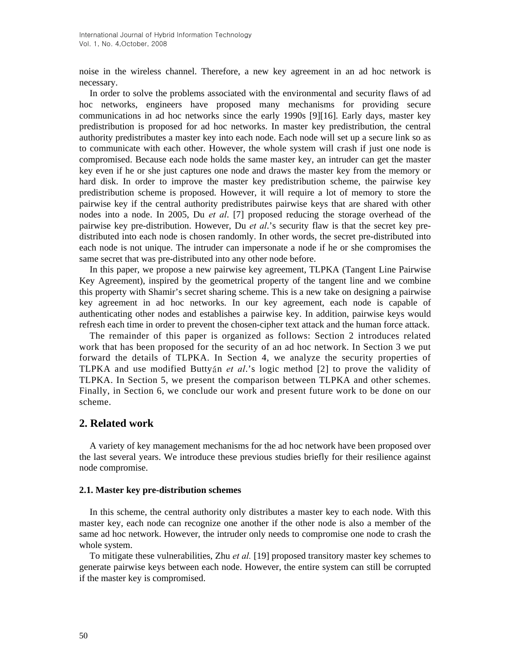noise in the wireless channel. Therefore, a new key agreement in an ad hoc network is necessary.

In order to solve the problems associated with the environmental and security flaws of ad hoc networks, engineers have proposed many mechanisms for providing secure communications in ad hoc networks since the early 1990s [9][16]. Early days, master key predistribution is proposed for ad hoc networks. In master key predistribution, the central authority predistributes a master key into each node. Each node will set up a secure link so as to communicate with each other. However, the whole system will crash if just one node is compromised. Because each node holds the same master key, an intruder can get the master key even if he or she just captures one node and draws the master key from the memory or hard disk. In order to improve the master key predistribution scheme, the pairwise key predistribution scheme is proposed. However, it will require a lot of memory to store the pairwise key if the central authority predistributes pairwise keys that are shared with other nodes into a node. In 2005, Du *et al*. [7] proposed reducing the storage overhead of the pairwise key pre-distribution. However, Du *et al*.'s security flaw is that the secret key predistributed into each node is chosen randomly. In other words, the secret pre-distributed into each node is not unique. The intruder can impersonate a node if he or she compromises the same secret that was pre-distributed into any other node before.

In this paper, we propose a new pairwise key agreement, TLPKA (Tangent Line Pairwise Key Agreement), inspired by the geometrical property of the tangent line and we combine this property with Shamir's secret sharing scheme. This is a new take on designing a pairwise key agreement in ad hoc networks. In our key agreement, each node is capable of authenticating other nodes and establishes a pairwise key. In addition, pairwise keys would refresh each time in order to prevent the chosen-cipher text attack and the human force attack.

The remainder of this paper is organized as follows: Section 2 introduces related work that has been proposed for the security of an ad hoc network. In Section 3 we put forward the details of TLPKA. In Section 4, we analyze the security properties of TLPKA and use modified Buttyán *et al*.'s logic method [2] to prove the validity of TLPKA. In Section 5, we present the comparison between TLPKA and other schemes. Finally, in Section 6, we conclude our work and present future work to be done on our scheme.

## **2. Related work**

A variety of key management mechanisms for the ad hoc network have been proposed over the last several years. We introduce these previous studies briefly for their resilience against node compromise.

### **2.1. Master key pre-distribution schemes**

In this scheme, the central authority only distributes a master key to each node. With this master key, each node can recognize one another if the other node is also a member of the same ad hoc network. However, the intruder only needs to compromise one node to crash the whole system.

To mitigate these vulnerabilities, Zhu *et al.* [19] proposed transitory master key schemes to generate pairwise keys between each node. However, the entire system can still be corrupted if the master key is compromised.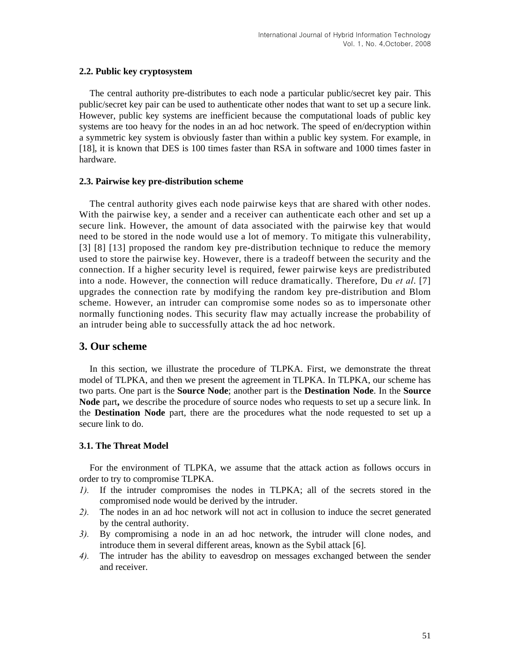### **2.2. Public key cryptosystem**

The central authority pre-distributes to each node a particular public/secret key pair. This public/secret key pair can be used to authenticate other nodes that want to set up a secure link. However, public key systems are inefficient because the computational loads of public key systems are too heavy for the nodes in an ad hoc network. The speed of en/decryption within a symmetric key system is obviously faster than within a public key system. For example, in [18], it is known that DES is 100 times faster than RSA in software and 1000 times faster in hardware.

### **2.3. Pairwise key pre-distribution scheme**

The central authority gives each node pairwise keys that are shared with other nodes. With the pairwise key, a sender and a receiver can authenticate each other and set up a secure link. However, the amount of data associated with the pairwise key that would need to be stored in the node would use a lot of memory. To mitigate this vulnerability, [3] [8] [13] proposed the random key pre-distribution technique to reduce the memory used to store the pairwise key. However, there is a tradeoff between the security and the connection. If a higher security level is required, fewer pairwise keys are predistributed into a node. However, the connection will reduce dramatically. Therefore, Du *et al*. [7] upgrades the connection rate by modifying the random key pre-distribution and Blom scheme. However, an intruder can compromise some nodes so as to impersonate other normally functioning nodes. This security flaw may actually increase the probability of an intruder being able to successfully attack the ad hoc network.

## **3. Our scheme**

In this section, we illustrate the procedure of TLPKA. First, we demonstrate the threat model of TLPKA, and then we present the agreement in TLPKA. In TLPKA, our scheme has two parts. One part is the **Source Node**; another part is the **Destination Node**. In the **Source Node** part**,** we describe the procedure of source nodes who requests to set up a secure link. In the **Destination Node** part, there are the procedures what the node requested to set up a secure link to do.

## **3.1. The Threat Model**

For the environment of TLPKA, we assume that the attack action as follows occurs in order to try to compromise TLPKA.

- *1).* If the intruder compromises the nodes in TLPKA; all of the secrets stored in the compromised node would be derived by the intruder.
- *2).* The nodes in an ad hoc network will not act in collusion to induce the secret generated by the central authority.
- *3).* By compromising a node in an ad hoc network, the intruder will clone nodes, and introduce them in several different areas, known as the Sybil attack [6].
- *4).* The intruder has the ability to eavesdrop on messages exchanged between the sender and receiver.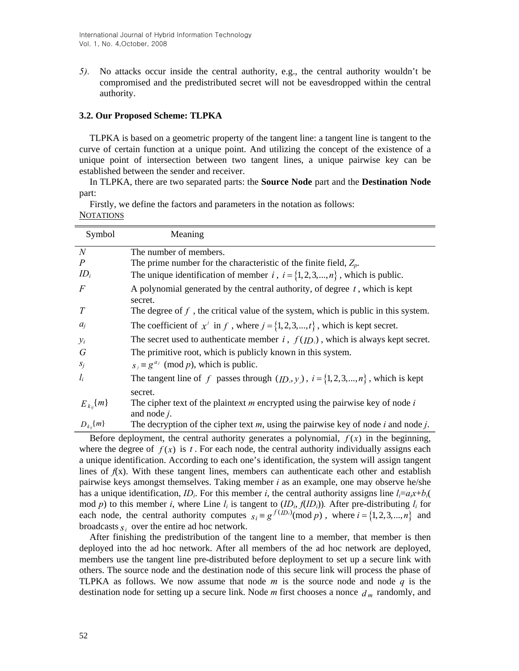*5).* No attacks occur inside the central authority, e.g., the central authority wouldn't be compromised and the predistributed secret will not be eavesdropped within the central authority.

### **3.2. Our Proposed Scheme: TLPKA**

TLPKA is based on a geometric property of the tangent line: a tangent line is tangent to the curve of certain function at a unique point. And utilizing the concept of the existence of a unique point of intersection between two tangent lines, a unique pairwise key can be established between the sender and receiver.

In TLPKA, there are two separated parts: the **Source Node** part and the **Destination Node**  part:

| Symbol            | Meaning                                                                                             |
|-------------------|-----------------------------------------------------------------------------------------------------|
| N                 | The number of members.                                                                              |
| $\boldsymbol{P}$  | The prime number for the characteristic of the finite field, $Z_p$ .                                |
| $ID_i$            | The unique identification of member i, $i = \{1, 2, 3, , n\}$ , which is public.                    |
| F                 | A polynomial generated by the central authority, of degree $t$ , which is kept<br>secret.           |
| T                 | The degree of $f$ , the critical value of the system, which is public in this system.               |
| $a_i$             | The coefficient of $x^j$ in f, where $j = \{1, 2, 3, \dots, t\}$ , which is kept secret.            |
| $y_i$             | The secret used to authenticate member $i$ , $f(ID_i)$ , which is always kept secret.               |
| G                 | The primitive root, which is publicly known in this system.                                         |
| $S_j$             | $s_i \equiv g^{a_i} \pmod{p}$ , which is public.                                                    |
| $l_i$             | The tangent line of f passes through $(ID_i, y_i)$ , $i = \{1, 2, 3, , n\}$ , which is kept         |
|                   | secret.                                                                                             |
| $E_{k_{ii}}\{m\}$ | The cipher text of the plaintext $m$ encrypted using the pairwise key of node $i$<br>and node $j$ . |
| $D_{k_{ii}}\{m\}$ | The decryption of the cipher text $m$ , using the pairwise key of node $i$ and node $j$ .           |

Firstly, we define the factors and parameters in the notation as follows: **NOTATIONS** 

Before deployment, the central authority generates a polynomial,  $f(x)$  in the beginning, where the degree of  $f(x)$  is  $t$ . For each node, the central authority individually assigns each a unique identification. According to each one's identification, the system will assign tangent lines of  $f(x)$ . With these tangent lines, members can authenticate each other and establish pairwise keys amongst themselves. Taking member *i* as an example, one may observe he/she has a unique identification, *ID<sub>i</sub>*. For this member *i*, the central authority assigns line  $l_i=a_ix+b_i$ mod *p*) to this member *i*, where Line  $l_i$  is tangent to  $(ID_i, f(ID_i))$ . After pre-distributing  $l_i$  for each node, the central authority computes  $s_i = g^{f(D_i)} \pmod{p}$ , where  $i = \{1, 2, 3, ..., n\}$  and broadcasts  $s_i$  over the entire ad hoc network.

After finishing the predistribution of the tangent line to a member, that member is then deployed into the ad hoc network. After all members of the ad hoc network are deployed, members use the tangent line pre-distributed before deployment to set up a secure link with others. The source node and the destination node of this secure link will process the phase of TLPKA as follows. We now assume that node *m* is the source node and node *q* is the destination node for setting up a secure link. Node *m* first chooses a nonce *d <sup>m</sup>* randomly, and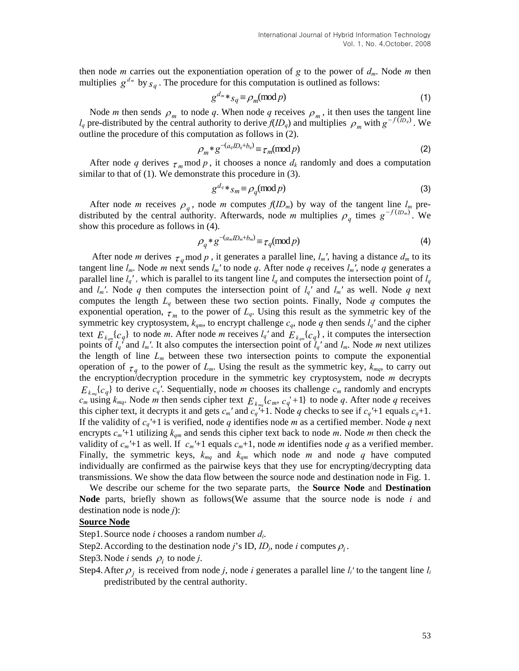then node *m* carries out the exponentiation operation of *g* to the power of  $d_m$ . Node *m* then multiplies  $g^{d_m}$  by  $_{S_q}$ . The procedure for this computation is outlined as follows:

$$
g^{d_m} *_{Sq} \equiv \rho_m(\text{mod } p) \tag{1}
$$

Node *m* then sends  $\rho_m$  to node q. When node q receives  $\rho_m$ , it then uses the tangent line  $l_q$  pre-distributed by the central authority to derive  $f(D_q)$  and multiplies  $\rho_m$  with  $g^{-f(D_q)}$ . We outline the procedure of this computation as follows in (2).

$$
\rho_m * g^{-(a_q I D_q + b_q)} \equiv \tau_m \pmod{p} \tag{2}
$$

After node q derives  $\tau_m$  mod p, it chooses a nonce  $d_k$  randomly and does a computation similar to that of (1). We demonstrate this procedure in (3).

$$
g^{d_q} *_{S_m} \equiv \rho_q(\text{mod } p) \tag{3}
$$

After node *m* receives  $\rho_q$ , node *m* computes  $f(ID_m)$  by way of the tangent line  $l_m$  predistributed by the central authority. Afterwards, node *m* multiplies  $\rho_q$  times  $g^{-f(D_m)}$ . We show this procedure as follows in (4).

$$
\rho_q * g^{-(a_m I D_m + b_m)} \equiv \tau_q \pmod{p} \tag{4}
$$

After node *m* derives  $\tau_q$  mod *p*, it generates a parallel line,  $l_m$ <sup>*'*</sup>, having a distance  $d_m$  to its tangent line  $l_m$ . Node *m* next sends  $l_m'$  to node *q*. After node *q* receives  $l_m'$ , node *q* generates a parallel line  $l_q'$ , which is parallel to its tangent line  $l_q$  and computes the intersection point of  $l_q$ and  $l_m$ <sup>*'*</sup>. Node *q* then computes the intersection point of  $l_q$ <sup>*'*</sup> and  $l_m$ <sup>*'*</sup> as well. Node *q* next computes the length *Lq* between these two section points. Finally, Node *q* computes the exponential operation,  $\tau_m$  to the power of  $L_q$ . Using this result as the symmetric key of the symmetric key cryptosystem,  $k_{qm}$ , to encrypt challenge  $c_q$ , node  $q$  then sends  $l_q$ <sup>*'*</sup> and the cipher text  $E_{k_{qm}}[c_q]$  to node *m*. After node *m* receives  $l_q$  and  $E_{k_{qm}}[c_q]$ , it computes the intersection points of  $l_q$ <sup>*'*</sup> and  $l_m$ '. It also computes the intersection point of  $l_q$ <sup>*'*</sup> and  $l_m$ . Node *m* next utilizes the length of line  $L_m$  between these two intersection points to compute the exponential operation of  $\tau_a$  to the power of  $L_m$ . Using the result as the symmetric key,  $k_{mq}$ , to carry out the encryption/decryption procedure in the symmetric key cryptosystem, node *m* decrypts  ${E}_{k_{\text{max}}}\lbrace c_q \rbrace$  to derive  $c_q'$ . Sequentially, node *m* chooses its challenge  $c_m$  randomly and encrypts  $c_m$  using  $k_{mq}$ . Node *m* then sends cipher text  $E_{k_{mq}}\{c_m, c_q + 1\}$  to node *q*. After node *q* receives this cipher text, it decrypts it and gets  $c_m$ ' and  $c_q$ <sup>''+1</sup>. Node *q* checks to see if  $c_q$ '+1 equals  $c_q$ +1. If the validity of *cq′*+1 is verified, node *q* identifies node *m* as a certified member. Node *q* next encrypts  $c_m$ <sup> $\prime$ </sup>+1 utilizing  $k_{qm}$  and sends this cipher text back to node *m*. Node *m* then check the validity of  $c_m'$ +1 as well. If  $c_m'$ +1 equals  $c_m$ +1, node *m* identifies node *q* as a verified member. Finally, the symmetric keys,  $k_{mq}$  and  $k_{qm}$  which node *m* and node *q* have computed individually are confirmed as the pairwise keys that they use for encrypting/decrypting data transmissions. We show the data flow between the source node and destination node in Fig. 1.

We describe our scheme for the two separate parts, the **Source Node** and **Destination Node** parts, briefly shown as follows(We assume that the source node is node *i* and destination node is node *j*):

### **Source Node**

Step1.Source node *i* chooses a random number *di*.

Step2. According to the destination node *j*'s ID,  $ID_j$ , node *i* computes  $\rho_i$ .

- Step3. Node *i* sends  $\rho_i$  to node *j*.
- Step4. After  $\rho_j$  is received from node *j*, node *i* generates a parallel line  $l_i$ <sup>*'*</sup> to the tangent line  $l_i$ predistributed by the central authority.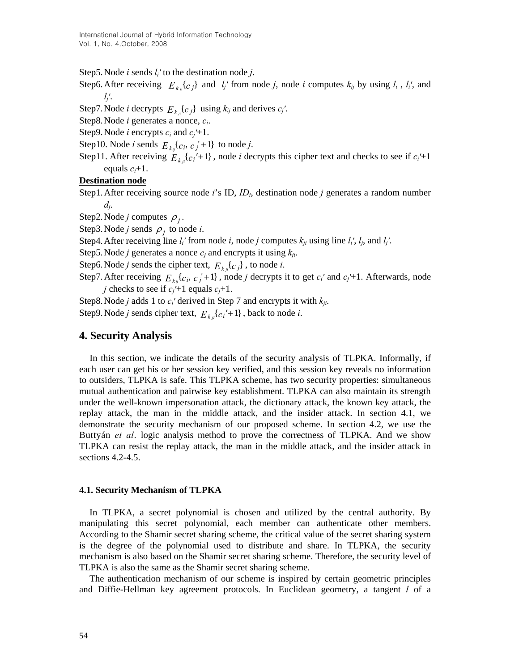Step5.Node *i* sends *li′* to the destination node *j*.

Step6. After receiving  $E_{k_{ij}}[c_j]$  and  $l_j$ ' from node *j*, node *i* computes  $k_{ij}$  by using  $l_i$ ,  $l_i'$ , and *lj′*.

Step7. Node *i* decrypts  $E_{kji}$   $\{c_j\}$  using  $k_{ij}$  and derives  $c_j'$ .

Step8.Node *i* generates a nonce, *ci*.

Step9. Node *i* encrypts  $c_i$  and  $c_j' + 1$ .

Step10. Node *i* sends  $E_{k_{ij}}\{c_i, c_j^{\dagger}+1\}$  to node *j*.

Step11. After receiving  $E_{k_{ji}}[c_i' + 1]$ , node *i* decrypts this cipher text and checks to see if  $c_i' + 1$ equals  $c_i+1$ .

### **Destination node**

Step1.After receiving source node *i*'s ID, *IDi*, destination node *j* generates a random number *dj*.

Step2. Node *j* computes  $\rho_i$ .

Step3. Node *j* sends  $\rho_i$  to node *i*.

Step4. After receiving line  $l_i$ <sup>*'*</sup> from node *i*, node *j* computes  $k_{ji}$  using line  $l_i$ <sup>*'*</sup>,  $l_j$ , and  $l_j$ <sup>'</sup>.

Step5. Node *j* generates a nonce  $c_j$  and encrypts it using  $k_{ji}$ .

Step6. Node *j* sends the cipher text,  $E_{k_{ji}}\{c_j\}$ , to node *i*.

Step7. After receiving  $E_{k_{ij}}\{c_i, c_j^{\dagger}+1\}$ , node *j* decrypts it to get  $c_i$ <sup>*'*</sup> and  $c_j^{\dagger}+1$ . Afterwards, node *j* checks to see if  $c_j'$ +1 equals  $c_j$ +1.

Step8. Node *j* adds 1 to  $c_i$ ' derived in Step 7 and encrypts it with  $k_{ji}$ .

Step9. Node *j* sends cipher text,  $E_{kji} \{ c_i^{\prime} + 1 \}$ , back to node *i*.

## **. Security Analysis 4**

TLPKA can resist the replay attack, the man in the middle attack, and the insider attack in sections 4.2-4.5. In this section, we indicate the details of the security analysis of TLPKA. Informally, if each user can get his or her session key verified, and this session key reveals no information to outsiders, TLPKA is safe. This TLPKA scheme, has two security properties: simultaneous mutual authentication and pairwise key establishment. TLPKA can also maintain its strength under the well-known impersonation attack, the dictionary attack, the known key attack, the replay attack, the man in the middle attack, and the insider attack. In section 4.1, we demonstrate the security mechanism of our proposed scheme. In section 4.2, we use the Buttyán *et al*. logic analysis method to prove the correctness of TLPKA. And we show

#### **.1. Security Mechanism of TLPKA 4**

mechanism is also based on the Shamir secret sharing scheme. Therefore, the security level of TL PKA is also the same as the Shamir secret sharing scheme. In TLPKA, a secret polynomial is chosen and utilized by the central authority. By manipulating this secret polynomial, each member can authenticate other members. According to the Shamir secret sharing scheme, the critical value of the secret sharing system is the degree of the polynomial used to distribute and share. In TLPKA, the security

The authentication mechanism of our scheme is inspired by certain geometric principles and Diffie-Hellman key agreement protocols. In Euclidean geometry, a tangent *l* of a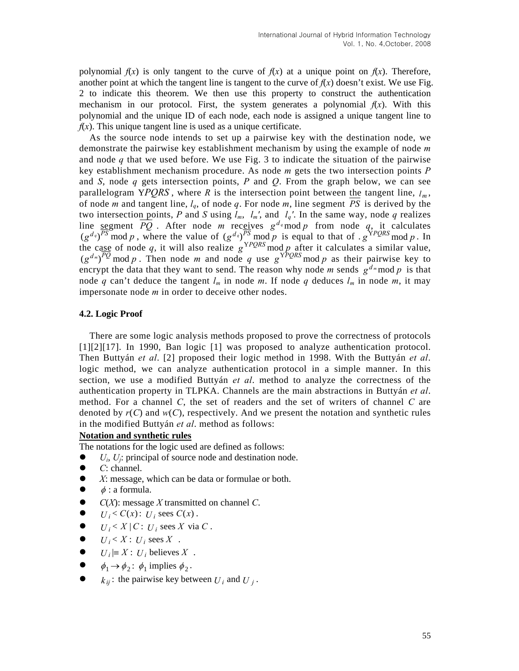polynomial and the unique ID of each node, each node is assigned a unique tangent line to  $f(x)$ . This unique tangent line is used as a unique certificate. polynomial  $f(x)$  is only tangent to the curve of  $f(x)$  at a unique point on  $f(x)$ . Therefore, another point at which the tangent line is tangent to the curve of  $f(x)$  doesn't exist. We use Fig. 2 to indicate this theorem. We then use this property to construct the authentication mechanism in our protocol. First, the system generates a polynomial  $f(x)$ . With this

and *S*, node  $q$  gets intersection points,  $P$  and  $Q$ . From the graph below, we can see As the source node intends to set up a pairwise key with the destination node, we demonstrate the pairwise key establishment mechanism by using the example of node *m* and node *q* that we used before. We use Fig. 3 to indicate the situation of the pairwise key establishment mechanism procedure. As node *m* gets the two intersection points *P* parallelogram YPQRS, where R is the intersection point between the tangent line,  $l_m$ , of node *m* and tangent line,  $l_q$ , of node q. For node m, line segment  $\overline{PS}$  is derived by the two intersection points, P and S using  $l_m$ ,  $l_m'$ , and  $l_q'$ . In the same way, node q realizes line <u>seg</u>ment  $\overline{PQ}$ . After node *m* receives  $g^{d_q}$  mod *p* from node *q*, it calculates  $(g^{d_q})^{PS}$  mod p, where the value of  $(g^{d_q})^{PS}$  mod p is equal to that of .  $g^{\text{YPQRS}}$  mod p. In the case of node q, it will also realize  $g^{YPQRS}$  mod p after it calculates a similar value,  $(g^{d_m})^{PQ}$  mod p. Then node m and node q use  $g^{YPQRS}$  mod p as their pairwise key to encrypt the data that they want to send. The reason why node *m* sends  $g^{d_m}$  mod *p* is that node q can't deduce the tangent  $l_m$  in node m. If node q deduces  $l_m$  in node m, it may impersonate node  $m$  in order to deceive other nodes.

### **.2. Logic Proof 4**

denoted by  $r(C)$  and  $w(C)$ , respectively. And we present the notation and synthetic rules in the modified Buttyán et al. method as follows: There are some logic analysis methods proposed to prove the correctness of protocols [1][2][17]. In 1990, Ban logic [1] was proposed to analyze authentication protocol. Then Buttyán *et al*. [2] proposed their logic method in 1998. With the Buttyán *et al*. logic method, we can analyze authentication protocol in a simple manner. In this section, we use a modified Buttyán *et al*. method to analyze the correctness of the authentication property in TLPKA. Channels are the main abstractions in Buttyán *et al*. method. For a channel *C*, the set of readers and the set of writers of channel *C* are

## **Notation and synthetic rules**

The notations for the logic used are defined as follows:

- $U_i$ ,  $U_i$ : principal of source node and destination node.
- $\bullet$  *C*: channel.
- $\bullet$  *X*: message, which can be data or formulae or both.
- $\phi$  : a formula.
- *C*(*X*): message *X* transmitted on channel *C*.  $\bullet$
- $U_i < C(x)$ :  $U_i$  sees  $C(x)$ .
- $\bullet$  *U<sub>i</sub>* < *X* | *C* : *U<sub>i</sub>* sees *X* via *C*.
- $U_i \leq X : U_i$  sees  $X$ .
- $\bullet$  *U<sub>i</sub>*  $\equiv X : U_i$  believes X.
- $\bullet$   $\phi_1 \rightarrow \phi_2$ :  $\phi_1$  implies  $\phi_2$ .
- $k_{ij}$ : the pairwise key between  $U_i$  and  $U_j$ .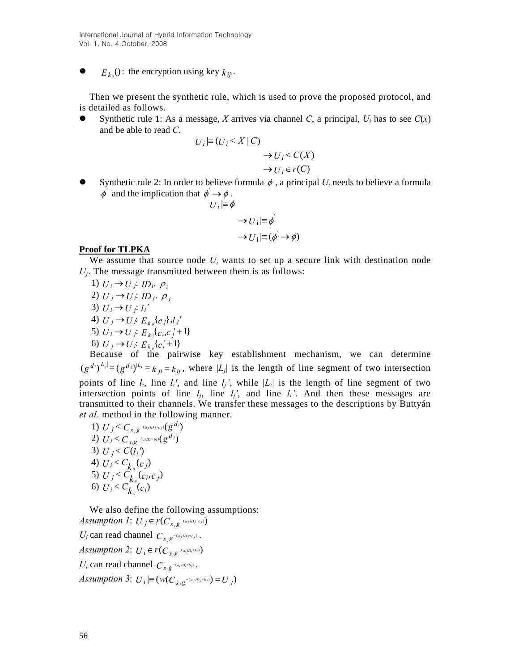International Journal of Hybrid Information Technology Vol. 1, No. 4,October, 2008

•  $E_{k_{ij}}()$ : the encryption using key  $k_{ij}$ .

Then we present the synthetic rule, which is used to prove the proposed protocol, and is detailed as follows.

• Synthetic rule 1: As a message, *X* arrives via channel *C*, a principal,  $U_i$  has to see  $C(x)$ and be able to read *C*.

$$
U_i \models (U_i < X \mid C) \\
\rightarrow U_i < C(X) \\
\rightarrow U_i \in r(C)
$$

Synthetic rule 2: In order to believe formula  $\phi$ , a principal  $U_i$  needs to believe a formula  $\phi$  and the implication that  $\phi \to \phi$ .

$$
U_i \models \phi
$$
  
\n
$$
\rightarrow U_i \models \phi'
$$
  
\n
$$
\rightarrow U_i \models (\phi \rightarrow \phi)
$$

### **Proof for TLPKA**

We assume that source node  $U_i$  wants to set up a secure link with destination node  $U_j$ . The message transmitted between them is as follows:

*I*)  $U_i \rightarrow U_j$ ;  $ID_i$ ,  $\rho_i$ 2)  $U_j \rightarrow U_i$ ;  $ID_j$ ,  $\rho_j$ 3)  $U_i \rightarrow U_j$ ;  $l_i'$ 4)  $U_j \rightarrow U_i$ :  $E_{k_{ji}}[c_j]$ , $l_j'$ 5)  $U_i \rightarrow U_j$ ;  $E_{k_{ij}}{c_i}$ ,  $c_j$ <sup>+1</sup>} 6)  $U_j \rightarrow U_i$ :  $E_{k_{ji}}[c_i^{\dagger}+1]$ 

Because of the pairwise key establishment mechanism, we can determine  $(g^{d_i}|L_j| = (g^{d_j})^{|L_j|} = k_{ji} = k_{ij}$ , where  $|L_j|$  is the length of line segment of two intersection points of line  $l_i$ , line  $l_i'$ , and line  $l_j'$ , while  $|L_i|$  is the length of line segment of two intersection points of line  $l_j$ , line  $l_j'$ , and line  $l_i'$ . And then these messages are transmitted to their channels. We transfer these messages to the descriptions by Buttyán *et al*. method in the following manner.

(*t*<sub>*i*</sub> *i*)  $U_j < C_{s_j g}(-a_j i b_j + b_j)}(g^{d_i})$ 2)  $U_i < C_{s_i g}^{U_{\text{max}}(a_i m_i + b_i)}(g^{d_j})$ 3)  $U_j < C(l_i)$ 4)  $U_i < C_{\underline{k}_y}(c_j)$ 5)  $U_j < C_{k_{ij}}(c_i, c_j)$ 6)  $U_i < C_{k_i}(c_i)$ 

We also define the following assumptions: *Assumption 1:*  $U_j \in r(C_{s/g^{-(a_j/b_j+b_j)}})$ *U<sub>j</sub>* can read channel  $C_{s_j g}$ <sup>-(ajmj+bj)</sup>. *Assumption 2:*  $U_i \in r(C_{s_i g^{-(a_i iDi + b_i)}})$  $U_i$  can read channel  $C_{s_i g}$ <sup>- $(a_iID_i+b_i)$ </sup>.

*Assumption 3*:  $U_i \equiv (w(C_{s_i g^{-(a_j/b_j+b_j)}}) = U_j)$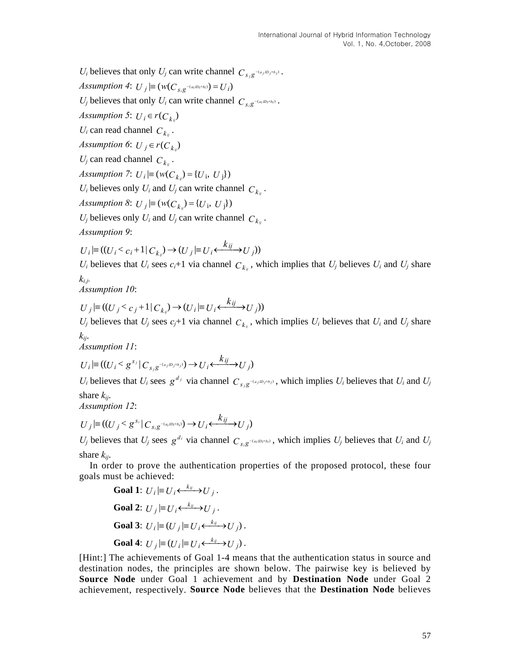*U<sub>i</sub>* believes that only *U<sub>j</sub>* can write channel  $C_{s_i,g}$  –  $(a_j/b_j+b_j)$ .

*Assumption 4*:  $U_j \models (w(C_{s_i g}^{-(a_i i D_i + b_i)}) = U_i)$ 

*U<sub>j</sub>* believes that only *U<sub>i</sub>* can write channel  $C_{s_i g^{-(a_i/D_i+b_i)}}$ .

*Assumption 5*:  $U_i \in r(C_{k_i})$ 

 $U_i$  can read channel  $C_{kij}$ .

*Assumption 6*:  $U_j \in r(C_{k_{ij}})$ 

 $U_j$  can read channel  $C_{k_{ij}}$ .

*Assumption 7:*  $U_i \equiv (w(C_{k_i}) = \{U_i, U_j\})$ 

 $U_i$  believes only  $U_i$  and  $U_j$  can write channel  $C_{kij}$ .

*Assumption 8*:  $U_j \equiv (w(C_{k_i}) = \{U_i, U_j\})$ 

 $U_j$  believes only  $U_i$  and  $U_j$  can write channel  $C_{k_{ij}}$ .

*Assumption 9*:

$$
U_i | \equiv ((U_i < c_i + 1 | C_{k_i}) \rightarrow (U_j | \equiv U_i \leftarrow \stackrel{k_{ij}}{\longrightarrow} U_j))
$$

 $U_i$  believes that  $U_i$  sees  $c_i+1$  via channel  $C_{k_{ij}}$ , which implies that  $U_j$  believes  $U_i$  and  $U_j$  share *ki.j.*

*Assumption 10*:

$$
U_j|\equiv ((U_j < c_j + 1)C_{k_j}) \rightarrow (U_i|\equiv U_i \leftarrow \stackrel{k_{ij}}{\longrightarrow} U_j))
$$

 $U_j$  believes that  $U_j$  sees  $c_j+1$  via channel  $C_{k_{ij}}$ , which implies  $U_i$  believes that  $U_i$  and  $U_j$  share *kij*.

*Assumption 11*:

$$
U_i | \equiv ((U_i < g^{s_j} | C_{s_j g^{-(a_j \mathcal{D}_j + b_j)}}) \rightarrow U_i \xleftarrow{k_{ij}} U_j)
$$

*U<sub>i</sub>* believes that *U<sub>i</sub>* sees  $g^{d_j}$  via channel  $C_{s_j}g^{-(a_j/p_j + b_j)}$ , which implies *U<sub>i</sub>* believes that *U<sub>i</sub>* and *U<sub>j</sub>* share *kij*.

*Assumption 12*:

$$
U_j|\equiv ((U_j < g^{s_i} | C_{s_i g^{-(a_i i D_i + b_i)}}) \rightarrow U_i \xleftarrow{k_{ij}} U_j)
$$

 $U_j$  believes that  $U_j$  sees  $g^{d_i}$  via channel  $C_{s_i g}$ <sup>-(a<sub>i</sub>D<sub>i</sub>+b<sub>i</sub>)</sub>, which implies  $U_j$  believes that  $U_i$  and  $U_j$ </sup> share *kij*.

In order to prove the authentication properties of the proposed protocol, these four goals must be achieved:

**Goal 1:** 
$$
U_i \models U_i \xleftarrow{k_{ij}} U_j
$$
.  
\n**Goal 2:**  $U_j \models U_i \xleftarrow{k_{ij}} U_j$ .  
\n**Goal 3:**  $U_i \models (U_j \models U_i \xleftarrow{k_{ij}} U_j)$ .  
\n**Goal 4:**  $U_j \models (U_i \models U_i \xleftarrow{k_{ij}} U_j)$ .

achievement, respectively. **Source Node** believes that the **Destination Node** believes [Hint:] The achievements of Goal 1-4 means that the authentication status in source and destination nodes, the principles are shown below. The pairwise key is believed by **Source Node** under Goal 1 achievement and by **Destination Node** under Goal 2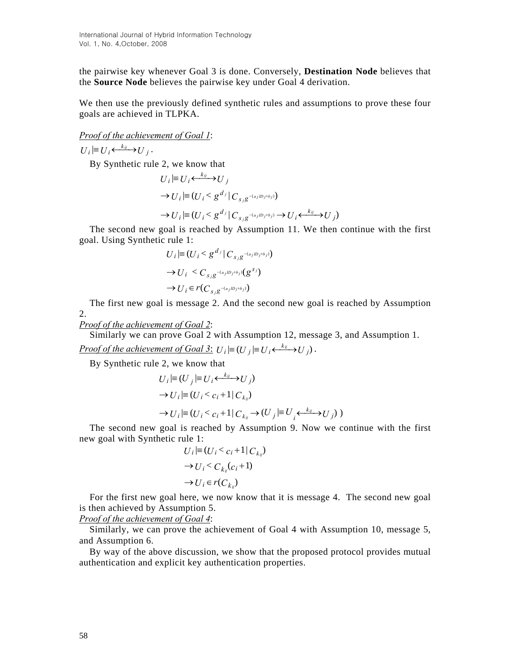the pairwise key whenever Goal 3 is done. Conversely, **Destination Node** believes that the **Source Node** believes the pairwise key under Goal 4 derivation.

We then use the previously defined synthetic rules and assumptions to prove these four goals are achieved in TLPKA.

*Proof of the achievement of Goal 1*:

 $U_i \equiv U_i \stackrel{k_{ij}}{\longleftrightarrow} U_i$ . By Synthetic rule 2, we know that  $U_i \models U_i \leftarrow \rightarrow U_j$ 

$$
\rightarrow U_i | \equiv (U_i \le g^{d_j} | C_{s_j g^{-(a_j \mathcal{D}_j + b_j)}})
$$
  

$$
\rightarrow U_i | \equiv (U_i \le g^{d_j} | C_{s_j g^{-(a_j \mathcal{D}_j + b_j)}} \rightarrow U_i \leftarrow^{k_j} U_j)
$$

The second new goal is reached by Assumption 11. We then continue with the first goal. Using Synthetic rule 1:

$$
U_i \equiv (U_i < g^{d_j} \mid C_{s_j g^{-(a_j \mid D_j \mid t_b_j)}})
$$
\n
$$
\rightarrow U_i < C_{s_j g^{-(a_j \mid D_j \mid t_b_j)}}(g^{s_j})
$$
\n
$$
\rightarrow U_i \in r(C_{s_j g^{-(a_j \mid D_j \mid t_b_j)}})
$$

The first new goal is message 2. And the second new goal is reached by Assumption 2.

*Proof of the achievement of Goal 2*:

Similarly we can prove Goal 2 with Assumption 12, message 3, and Assumption 1. *Proof of the achievement of Goal 3*:  $U_i \equiv (U_j \equiv U_i \leftarrow \stackrel{k_i}{\longrightarrow} U_j)$ .

By Synthetic rule 2, we know that

$$
U_i \equiv (U_j \equiv U_i \leftarrow^{k_y} U_j)
$$
  
\n
$$
\rightarrow U_i \equiv (U_i < c_i + 1 | C_{k_y})
$$
  
\n
$$
\rightarrow U_i \equiv (U_i < c_i + 1 | C_{k_y} \rightarrow (U_j \equiv U_j \leftarrow^{k_y} U_j))
$$

The second new goal is reached by Assumption 9. Now we continue with the first new goal with Synthetic rule 1:

$$
U_i \equiv (U_i < c_i + 1 \mid C_{k_i})
$$
\n
$$
\rightarrow U_i < C_{k_i}(c_i + 1)
$$
\n
$$
\rightarrow U_i \in r(C_{k_i})
$$

For the first new goal here, we now know that it is message 4. The second new goal is then achieved by Assumption 5.

*Proof of the achievement of Goal 4*:

Similarly, we can prove the achievement of Goal 4 with Assumption 10, message 5, and Assumption 6.

By way of the above discussion, we show that the proposed protocol provides mutual authentication and explicit key authentication properties.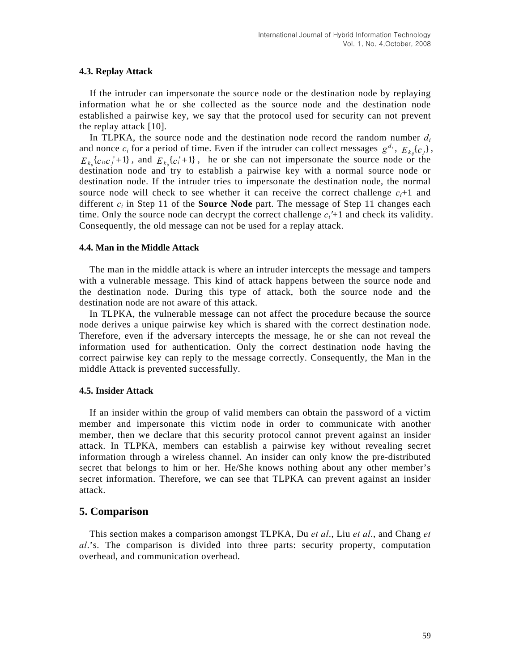### **4.3. Replay Attack**

If the intruder can impersonate the source node or the destination node by replaying information what he or she collected as the source node and the destination node established a pairwise key, we say that the protocol used for security can not prevent the replay attack [10].

In TLPKA, the source node and the destination node record the random number  $d_i$ and nonce  $c_i$  for a period of time. Even if the intruder can collect messages  $g^{d_i}$ ,  $E_{k_{ij}}\{c_j\}$ ,  $i_{k_{ij}}$   $\{c_i, c_j + 1\}$ , and  $E_{k_{ij}}$   $\{c_i + 1\}$ , he or she can not impersonate the source node or the destination node and try to establish a pairwise key with a normal source node or destination node. If the intruder tries to impersonate the destination node, the normal source node will check to see whether it can receive the correct challenge  $c_i+1$  and  $E_{\, k_{ii}}\{c$  $E_{k_{ii}}\{c_i,c'_j+1\}$ , and  $E_{k_{ii}}\{c'_i+1\}$ different  $c_i$  in Step 11 of the **Source Node** part. The message of Step 11 changes each time. Only the source node can decrypt the correct challenge  $c_i^{\prime+1}$  and check its validity. Consequently, the old message can not be used for a replay attack.

#### **4.4. Man in the Middle Attack**

The man in the middle attack is where an intruder intercepts the message and tampers with a vulnerable message. This kind of attack happens between the source node and the destination node. During this type of attack, both the source node and the destination node are not aware of this attack.

In TLPKA, the vulnerable message can not affect the procedure because the source node derives a unique pairwise key which is shared with the correct destination node. Therefore, even if the adversary intercepts the message, he or she can not reveal the information used for authentication. Only the correct destination node having the correct pairwise key can reply to the message correctly. Consequently, the Man in the middle Attack is prevented successfully.

### **4.5. Insider Attack**

If an insider within the group of valid members can obtain the password of a victim member and impersonate this victim node in order to communicate with another member, then we declare that this security protocol cannot prevent against an insider attack. In TLPKA, members can establish a pairwise key without revealing secret information through a wireless channel. An insider can only know the pre-distributed secret that belongs to him or her. He/She knows nothing about any other member's secret information. Therefore, we can see that TLPKA can prevent against an insider attack.

## **5. Comparison**

This section makes a comparison amongst TLPKA, Du *et al*., Liu *et al*., and Chang *et al*.'s. The comparison is divided into three parts: security property, computation overhead, and communication overhead.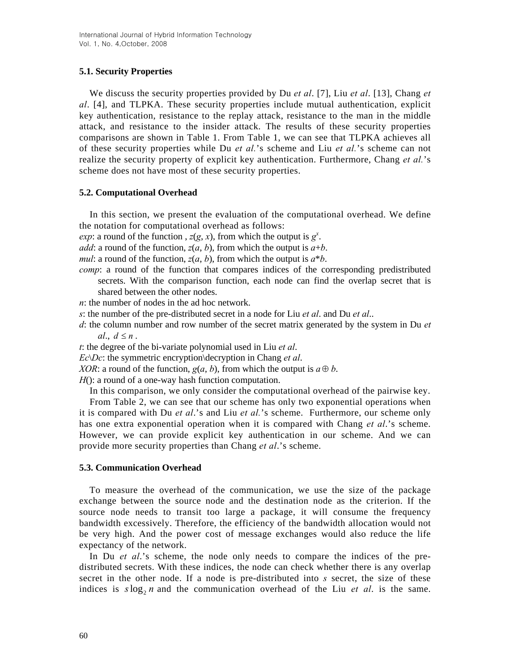## **5.1. Security Properties**

We discuss the security properties provided by Du *et al*. [7], Liu *et al*. [13], Chang *et al*. [4], and TLPKA. These security properties include mutual authentication, explicit key authentication, resistance to the replay attack, resistance to the man in the middle attack, and resistance to the insider attack. The results of these security properties comparisons are shown in Table 1. From Table 1, we can see that TLPKA achieves all of these security properties while Du *et al.*'s scheme and Liu *et al.*'s scheme can not realize the security property of explicit key authentication. Furthermore, Chang *et al.*'s scheme does not have most of these security properties.

## **5.2. Computational Overhead**

In this section, we present the evaluation of the computational overhead. We define the notation for computational overhead as follows:

*exp*: a round of the function ,  $z(g, x)$ , from which the output is  $g^x$ .

*add*: a round of the function,  $z(a, b)$ , from which the output is  $a+b$ .

*mul*: a round of the function,  $z(a, b)$ , from which the output is  $a^*b$ .

- *comp*: a round of the function that compares indices of the corresponding predistributed secrets. With the comparison function, each node can find the overlap secret that is shared between the other nodes.
- *n*: the number of nodes in the ad hoc network.
- *s*: the number of the pre-distributed secret in a node for Liu *et al*. and Du *et al*..
- *d*: the column number and row number of the secret matrix generated by the system in Du *et*   $al$ ,  $d \leq n$ .

*t*: the degree of the bi-variate polynomial used in Liu *et al*.

*Ec*\*Dc*: the symmetric encryption\decryption in Chang *et al*.

*XOR*: a round of the function,  $g(a, b)$ , from which the output is  $a \oplus b$ .

*H*(): a round of a one-way hash function computation.

In this comparison, we only consider the computational overhead of the pairwise key.

From Table 2, we can see that our scheme has only two exponential operations when it is compared with Du *et al*.'s and Liu *et al.*'s scheme. Furthermore, our scheme only has one extra exponential operation when it is compared with Chang *et al*.'s scheme. However, we can provide explicit key authentication in our scheme. And we can provide more security properties than Chang *et al*.'s scheme.

## **5.3. Communication Overhead**

To measure the overhead of the communication, we use the size of the package exchange between the source node and the destination node as the criterion. If the source node needs to transit too large a package, it will consume the frequency bandwidth excessively. Therefore, the efficiency of the bandwidth allocation would not be very high. And the power cost of message exchanges would also reduce the life expectancy of the network.

In Du *et al.*'s scheme, the node only needs to compare the indices of the predistributed secrets. With these indices, the node can check whether there is any overlap secret in the other node. If a node is pre-distributed into *s* secret, the size of these indices is  $s \log_2 n$  and the communication overhead of the Liu *et al.* is the same.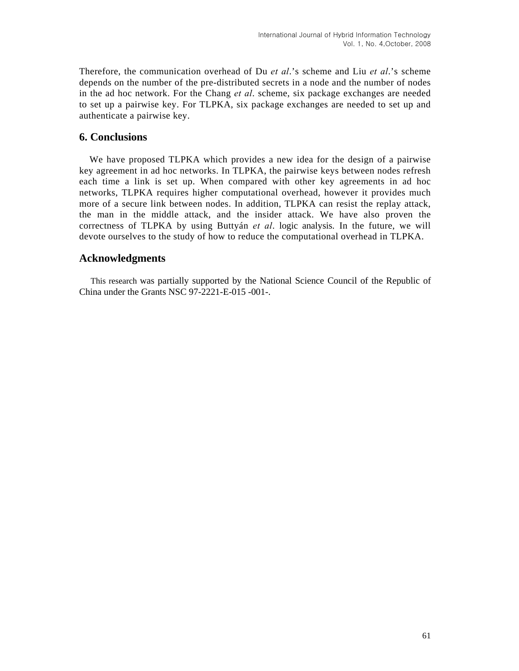Therefore, the communication overhead of Du *et al*.'s scheme and Liu *et al*.'s scheme depends on the number of the pre-distributed secrets in a node and the number of nodes in the ad hoc network. For the Chang *et al*. scheme, six package exchanges are needed to set up a pairwise key. For TLPKA, six package exchanges are needed to set up and authenticate a pairwise key.

# **6. Conclusions**

We have proposed TLPKA which provides a new idea for the design of a pairwise key agreement in ad hoc networks. In TLPKA, the pairwise keys between nodes refresh each time a link is set up. When compared with other key agreements in ad hoc networks, TLPKA requires higher computational overhead, however it provides much more of a secure link between nodes. In addition, TLPKA can resist the replay attack, the man in the middle attack, and the insider attack. We have also proven the correctness of TLPKA by using Buttyán *et al*. logic analysis. In the future, we will devote ourselves to the study of how to reduce the computational overhead in TLPKA.

## **Acknowledgments**

This research was partially supported by the National Science Council of the Republic of China under the Grants NSC 97-2221-E-015 -001-.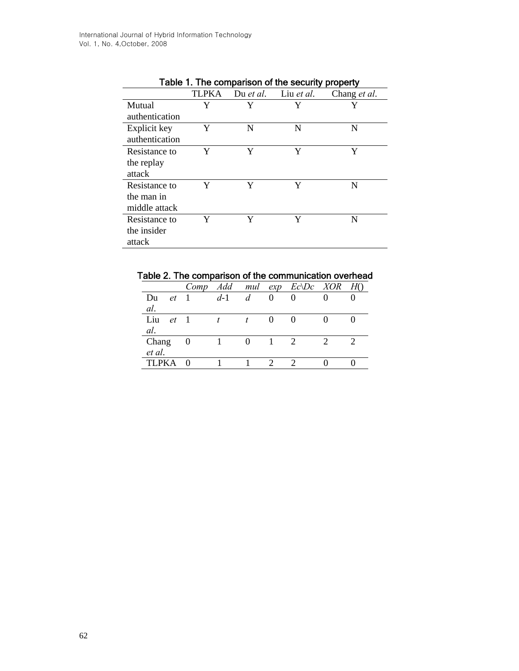|                |              |           | rable i. The companion of the security property |              |
|----------------|--------------|-----------|-------------------------------------------------|--------------|
|                | <b>TLPKA</b> | Du et al. | Liu et al.                                      | Chang et al. |
| Mutual         | Y            | Y         | Y                                               | Y            |
| authentication |              |           |                                                 |              |
| Explicit key   | Y            | N         | N                                               | N            |
| authentication |              |           |                                                 |              |
| Resistance to  | Y            | Y         | Y                                               | Y            |
| the replay     |              |           |                                                 |              |
| attack         |              |           |                                                 |              |
| Resistance to  | Y            | Y         | Y                                               | N            |
| the man in     |              |           |                                                 |              |
| middle attack  |              |           |                                                 |              |
| Resistance to  | Y            | Y         | Y                                               | N            |
| the insider    |              |           |                                                 |              |
| attack         |              |           |                                                 |              |
|                |              |           |                                                 |              |

Table 1. The comparison of the security property

|  |  |  |  |  | Table 2. The comparison of the communication overhead |  |
|--|--|--|--|--|-------------------------------------------------------|--|
|--|--|--|--|--|-------------------------------------------------------|--|

|              |              | Comp           | Add   |   |   | mul $exp$ $Ec\Delta$ Dc $XOR$ | H() |
|--------------|--------------|----------------|-------|---|---|-------------------------------|-----|
| Du           | et           |                | $d-1$ | d | 0 |                               |     |
| al.          |              |                |       |   |   |                               |     |
| Liu          | $et \quad 1$ |                |       |   |   |                               |     |
| al.          |              |                |       |   |   |                               |     |
| Chang        |              | $\overline{0}$ |       |   |   | $\mathcal{D}_{\mathcal{L}}$   |     |
| et al.       |              |                |       |   |   |                               |     |
| <b>TLPKA</b> |              |                |       |   |   |                               |     |
|              |              |                |       |   |   |                               |     |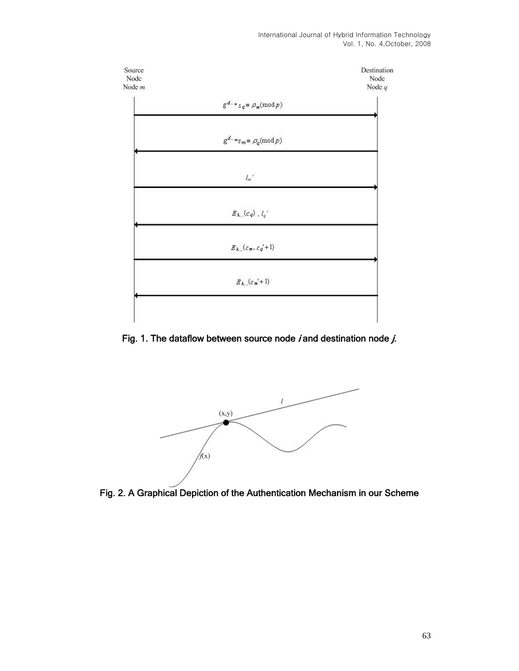

Fig. 1. The dataflow between source node *i* and destination node  $j$ .



Fig. 2. A Graphical Depiction of the Authentication Mechanism in our Scheme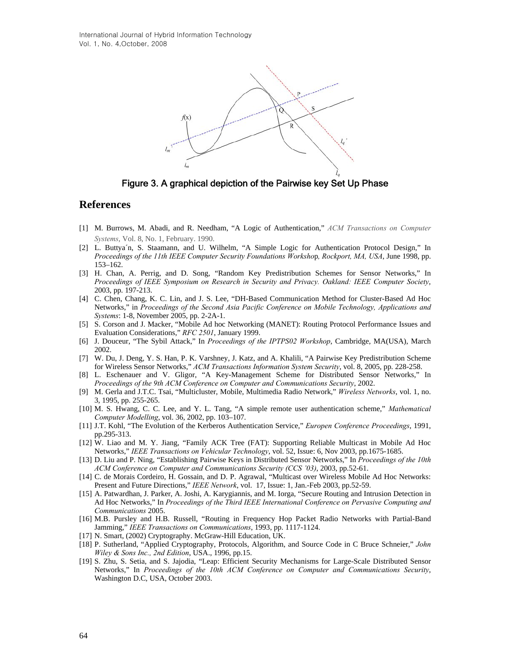International Journal of Hybrid Information Technology Vol. 1, No. 4,October, 2008



Figure 3. A graphical depiction of the Pairwise key Set Up Phase

## **References**

- [1] M. Burrows, M. Abadi, and R. Needham, "A Logic of Authentication," *ACM Transactions on Computer Systems*, Vol. 8, No. 1, February. 1990.
- [2] L. Buttya´n, S. Staamann, and U. Wilhelm, "A Simple Logic for Authentication Protocol Design," In *Proceedings of the 11th IEEE Computer Security Foundations Worksho*p*, Rockport, MA, USA*, June 1998, pp. 153–162.
- [3] H. Chan, A. Perrig, and D. Song, "Random Key Predistribution Schemes for Sensor Networks," In *Proceedings of IEEE Symposium on Research in Security and Privacy. Oakland: IEEE Computer Society*, 2003, pp. 197-213.
- [4] C. Chen, Chang, K. C. Lin, and J. S. Lee, "DH-Based Communication Method for Cluster-Based Ad Hoc Networks," in *Proceedings of the Second Asia Pacific Conference on Mobile Technology, Applications and Systems*: 1-8, November 2005, pp. 2-2A-1.
- [5] S. Corson and J. Macker, "Mobile Ad hoc Networking (MANET): Routing Protocol Performance Issues and Evaluation Considerations," *RFC 2501*, January 1999.
- [6] J. Douceur, "The Sybil Attack," In *Proceedings of the IPTPS02 Workshop*, Cambridge, MA(USA), March 2002.
- [7] W. Du, J. Deng, Y. S. Han, P. K. Varshney, J. Katz, and A. Khalili, "A Pairwise Key Predistribution Scheme for Wireless Sensor Networks," *ACM Transactions Information System Security*, vol. 8, 2005, pp. 228-258.
- [8] L. Eschenauer and V. Gligor, "A Key-Management Scheme for Distributed Sensor Networks," In *Proceedings of the 9th ACM Conference on Computer and Communications Security*, 2002.
- [9] M. Gerla and J.T.C. Tsai, "Multicluster, Mobile, Multimedia Radio Network," *Wireless Networks*, vol. 1, no. 3, 1995, pp. 255-265.
- [10] M. S. Hwang, C. C. Lee, and Y. L. Tang, "A simple remote user authentication scheme," *Mathematical Computer Modelling*, vol. 36, 2002, pp. 103–107.
- [11] J.T. Kohl, "The Evolution of the Kerberos Authentication Service," *Europen Conference Proceedings*, 1991, pp.295-313.
- [12] W. Liao and M. Y. Jiang, "Family ACK Tree (FAT): Supporting Reliable Multicast in Mobile Ad Hoc Networks," *IEEE Transactions on Vehicular Technology*, vol. 52, Issue: 6, Nov 2003, pp.1675-1685.
- [13] D. Liu and P. Ning, "Establishing Pairwise Keys in Distributed Sensor Networks," In *Proceedings of the 10th ACM Conference on Computer and Communications Security (CCS '03)*, 2003, pp.52-61.
- [14] C. de Morais Cordeiro, H. Gossain, and D. P. Agrawal, "Multicast over Wireless Mobile Ad Hoc Networks: Present and Future Directions," *IEEE Network*, vol. 17, Issue: 1, Jan.-Feb 2003, pp.52-59.
- [15] A. Patwardhan, J. Parker, A. Joshi, A. Karygiannis, and M. Iorga, "Secure Routing and Intrusion Detection in Ad Hoc Networks," In *Proceedings of the Third IEEE International Conference on Pervasive Computing and Communications* 2005.
- [16] M.B. Pursley and H.B. Russell, "Routing in Frequency Hop Packet Radio Networks with Partial-Band Jamming," *IEEE Transactions on Communications*, 1993, pp. 1117-1124.
- [17] N. Smart, (2002) Cryptography. McGraw-Hill Education, UK.
- [18] P. Sutherland, "Applied Cryptography, Protocols, Algorithm, and Source Code in C Bruce Schneier," *John Wiley & Sons Inc., 2nd Edition*, USA., 1996, pp.15.
- [19] S. Zhu, S. Setia, and S. Jajodia, "Leap: Efficient Security Mechanisms for Large-Scale Distributed Sensor Networks," In *Proceedings of the 10th ACM Conference on Computer and Communications Security*, Washington D.C, USA, October 2003.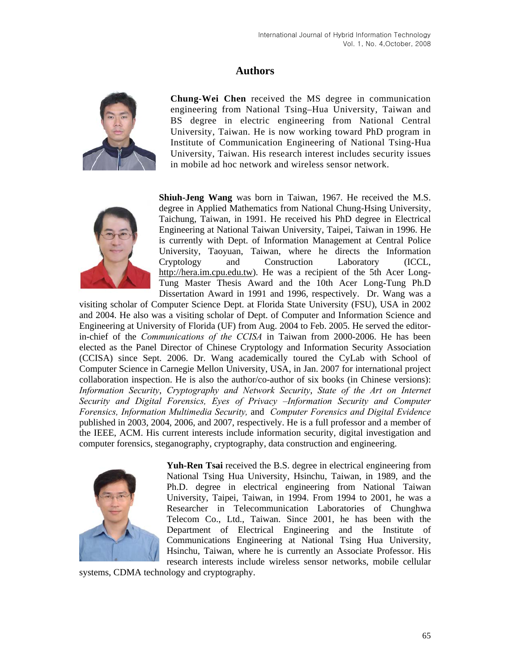## **Authors**



**Chung-Wei Chen** received the MS degree in communication engineering from National Tsing–Hua University, Taiwan and BS degree in electric engineering from National Central University, Taiwan. He is now working toward PhD program in Institute of Communication Engineering of National Tsing-Hua University, Taiwan. His research interest includes security issues in mobile ad hoc network and wireless sensor network.



**Shiuh-Jeng Wang** was born in Taiwan, 1967. He received the M.S. degree in Applied Mathematics from National Chung-Hsing University, Taichung, Taiwan, in 1991. He received his PhD degree in Electrical Engineering at National Taiwan University, Taipei, Taiwan in 1996. He is currently with Dept. of Information Management at Central Police University, Taoyuan, Taiwan, where he directs the Information Cryptology and Construction Laboratory (ICCL, [http://hera.im.cpu.edu.tw](http://hera.im.cpu.edu.tw/)). He was a recipient of the 5th Acer Long-Tung Master Thesis Award and the 10th Acer Long-Tung Ph.D Dissertation Award in 1991 and 1996, respectively. Dr. Wang was a

visiting scholar of Computer Science Dept. at Florida State University (FSU), USA in 2002 and 2004. He also was a visiting scholar of Dept. of Computer and Information Science and Engineering at University of Florida (UF) from Aug. 2004 to Feb. 2005. He served the editorin-chief of the *Communications of the CCISA* in Taiwan from 2000-2006. He has been elected as the Panel Director of Chinese Cryptology and Information Security Association (CCISA) since Sept. 2006. Dr. Wang academically toured the CyLab with School of Computer Science in Carnegie Mellon University, USA, in Jan. 2007 for international project collaboration inspection. He is also the author/co-author of six books (in Chinese versions): *Information Security*, *Cryptography and Network Security*, *State of the Art on Internet Security and Digital Forensics, Eyes of Privacy –Information Security and Computer Forensics, Information Multimedia Security,* and *Computer Forensics and Digital Evidence* published in 2003, 2004, 2006, and 2007, respectively. He is a full professor and a member of the IEEE, ACM. His current interests include information security, digital investigation and computer forensics, steganography, cryptography, data construction and engineering.



**Yuh-Ren Tsai** received the B.S. degree in electrical engineering from National Tsing Hua University, Hsinchu, Taiwan, in 1989, and the Ph.D. degree in electrical engineering from National Taiwan University, Taipei, Taiwan, in 1994. From 1994 to 2001, he was a Researcher in Telecommunication Laboratories of Chunghwa Telecom Co., Ltd., Taiwan. Since 2001, he has been with the Department of Electrical Engineering and the Institute of Communications Engineering at National Tsing Hua University, Hsinchu, Taiwan, where he is currently an Associate Professor. His research interests include wireless sensor networks, mobile cellular

systems, CDMA technology and cryptography.